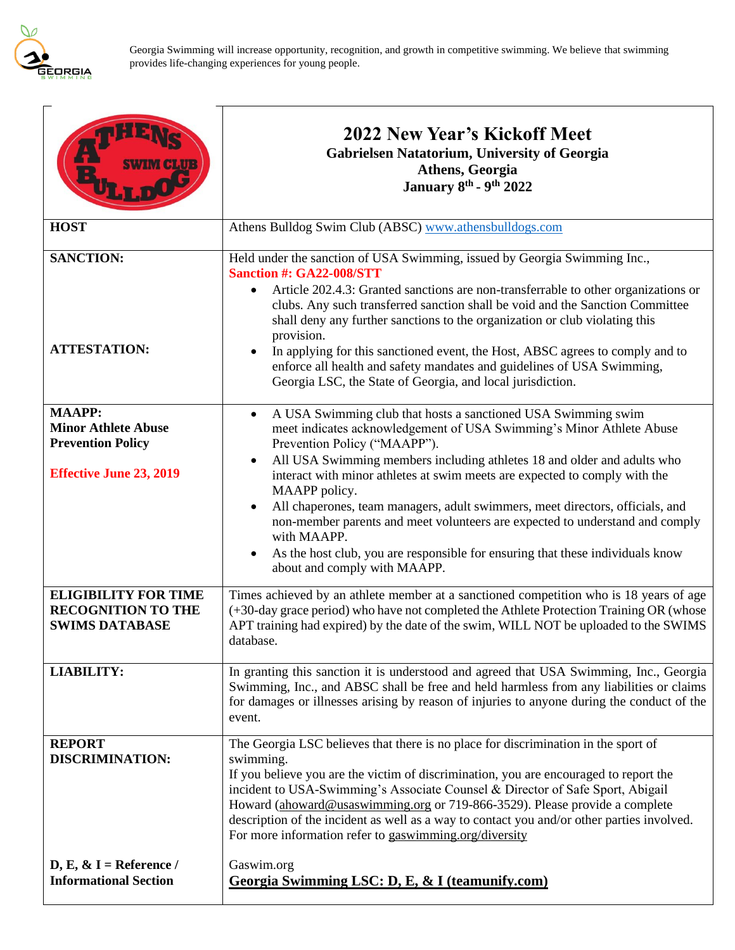

|                                                                                                           | 2022 New Year's Kickoff Meet<br><b>Gabrielsen Natatorium, University of Georgia</b><br>Athens, Georgia<br><b>January 8th - 9th 2022</b>                                                                                                                                                                                                                                                                                                                                                                                                                                                                                                                                                               |  |
|-----------------------------------------------------------------------------------------------------------|-------------------------------------------------------------------------------------------------------------------------------------------------------------------------------------------------------------------------------------------------------------------------------------------------------------------------------------------------------------------------------------------------------------------------------------------------------------------------------------------------------------------------------------------------------------------------------------------------------------------------------------------------------------------------------------------------------|--|
| <b>HOST</b>                                                                                               | Athens Bulldog Swim Club (ABSC) www.athensbulldogs.com                                                                                                                                                                                                                                                                                                                                                                                                                                                                                                                                                                                                                                                |  |
| <b>SANCTION:</b><br><b>ATTESTATION:</b>                                                                   | Held under the sanction of USA Swimming, issued by Georgia Swimming Inc.,<br><b>Sanction #: GA22-008/STT</b><br>Article 202.4.3: Granted sanctions are non-transferrable to other organizations or<br>$\bullet$<br>clubs. Any such transferred sanction shall be void and the Sanction Committee<br>shall deny any further sanctions to the organization or club violating this<br>provision.<br>In applying for this sanctioned event, the Host, ABSC agrees to comply and to<br>enforce all health and safety mandates and guidelines of USA Swimming,<br>Georgia LSC, the State of Georgia, and local jurisdiction.                                                                                |  |
| <b>MAAPP:</b><br><b>Minor Athlete Abuse</b><br><b>Prevention Policy</b><br><b>Effective June 23, 2019</b> | A USA Swimming club that hosts a sanctioned USA Swimming swim<br>$\bullet$<br>meet indicates acknowledgement of USA Swimming's Minor Athlete Abuse<br>Prevention Policy ("MAAPP").<br>All USA Swimming members including athletes 18 and older and adults who<br>$\bullet$<br>interact with minor athletes at swim meets are expected to comply with the<br>MAAPP policy.<br>All chaperones, team managers, adult swimmers, meet directors, officials, and<br>$\bullet$<br>non-member parents and meet volunteers are expected to understand and comply<br>with MAAPP.<br>As the host club, you are responsible for ensuring that these individuals know<br>$\bullet$<br>about and comply with MAAPP. |  |
| <b>ELIGIBILITY FOR TIME</b><br><b>RECOGNITION TO THE</b><br><b>SWIMS DATABASE</b>                         | Times achieved by an athlete member at a sanctioned competition who is 18 years of age<br>(+30-day grace period) who have not completed the Athlete Protection Training OR (whose<br>APT training had expired) by the date of the swim, WILL NOT be uploaded to the SWIMS<br>database.                                                                                                                                                                                                                                                                                                                                                                                                                |  |
| <b>LIABILITY:</b>                                                                                         | In granting this sanction it is understood and agreed that USA Swimming, Inc., Georgia<br>Swimming, Inc., and ABSC shall be free and held harmless from any liabilities or claims<br>for damages or illnesses arising by reason of injuries to anyone during the conduct of the<br>event.                                                                                                                                                                                                                                                                                                                                                                                                             |  |
| <b>REPORT</b><br><b>DISCRIMINATION:</b>                                                                   | The Georgia LSC believes that there is no place for discrimination in the sport of<br>swimming.<br>If you believe you are the victim of discrimination, you are encouraged to report the<br>incident to USA-Swimming's Associate Counsel & Director of Safe Sport, Abigail<br>Howard (ahoward@usaswimming.org or 719-866-3529). Please provide a complete<br>description of the incident as well as a way to contact you and/or other parties involved.<br>For more information refer to gaswimming.org/diversity                                                                                                                                                                                     |  |
| D, E, $\&$ I = Reference /<br><b>Informational Section</b>                                                | Gaswim.org<br><b>Georgia Swimming LSC: D, E, &amp; I (teamunify.com)</b>                                                                                                                                                                                                                                                                                                                                                                                                                                                                                                                                                                                                                              |  |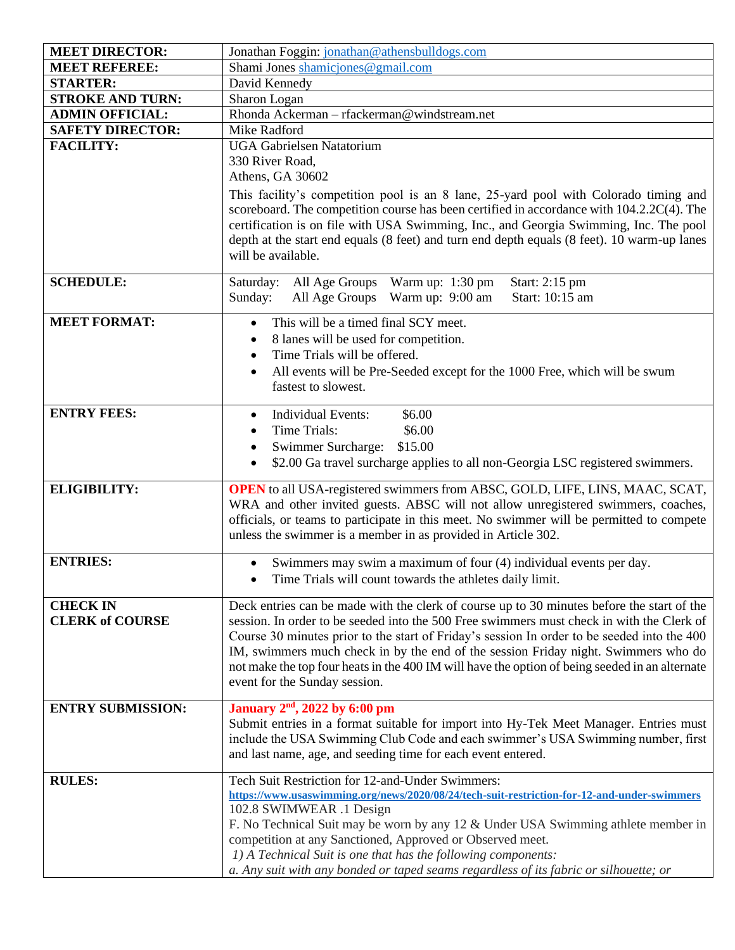| <b>MEET DIRECTOR:</b>    | Jonathan Foggin: jonathan@athensbulldogs.com                                                                                                                                                                                                                                                                                                                                                    |  |
|--------------------------|-------------------------------------------------------------------------------------------------------------------------------------------------------------------------------------------------------------------------------------------------------------------------------------------------------------------------------------------------------------------------------------------------|--|
| <b>MEET REFEREE:</b>     | Shami Jones shamicjones@gmail.com                                                                                                                                                                                                                                                                                                                                                               |  |
| <b>STARTER:</b>          | David Kennedy                                                                                                                                                                                                                                                                                                                                                                                   |  |
| <b>STROKE AND TURN:</b>  | Sharon Logan                                                                                                                                                                                                                                                                                                                                                                                    |  |
| <b>ADMIN OFFICIAL:</b>   | Rhonda Ackerman - rfackerman@windstream.net                                                                                                                                                                                                                                                                                                                                                     |  |
| <b>SAFETY DIRECTOR:</b>  | Mike Radford                                                                                                                                                                                                                                                                                                                                                                                    |  |
| <b>FACILITY:</b>         | <b>UGA Gabrielsen Natatorium</b>                                                                                                                                                                                                                                                                                                                                                                |  |
|                          | 330 River Road,                                                                                                                                                                                                                                                                                                                                                                                 |  |
|                          | Athens, GA 30602                                                                                                                                                                                                                                                                                                                                                                                |  |
|                          | This facility's competition pool is an 8 lane, 25-yard pool with Colorado timing and<br>scoreboard. The competition course has been certified in accordance with 104.2.2C(4). The<br>certification is on file with USA Swimming, Inc., and Georgia Swimming, Inc. The pool<br>depth at the start end equals (8 feet) and turn end depth equals (8 feet). 10 warm-up lanes<br>will be available. |  |
| <b>SCHEDULE:</b>         | Warm up: 1:30 pm<br>Start: 2:15 pm<br>Saturday:<br>All Age Groups<br>Start: 10:15 am<br>Sunday:<br>All Age Groups<br>Warm up: 9:00 am                                                                                                                                                                                                                                                           |  |
| <b>MEET FORMAT:</b>      | This will be a timed final SCY meet.<br>$\bullet$                                                                                                                                                                                                                                                                                                                                               |  |
|                          | 8 lanes will be used for competition.<br>$\bullet$                                                                                                                                                                                                                                                                                                                                              |  |
|                          | Time Trials will be offered.<br>$\bullet$                                                                                                                                                                                                                                                                                                                                                       |  |
|                          | All events will be Pre-Seeded except for the 1000 Free, which will be swum<br>$\bullet$                                                                                                                                                                                                                                                                                                         |  |
|                          | fastest to slowest.                                                                                                                                                                                                                                                                                                                                                                             |  |
| <b>ENTRY FEES:</b>       | \$6.00<br><b>Individual Events:</b><br>$\bullet$                                                                                                                                                                                                                                                                                                                                                |  |
|                          | Time Trials:<br>\$6.00<br>$\bullet$                                                                                                                                                                                                                                                                                                                                                             |  |
|                          | Swimmer Surcharge:<br>\$15.00<br>$\bullet$                                                                                                                                                                                                                                                                                                                                                      |  |
|                          | \$2.00 Ga travel surcharge applies to all non-Georgia LSC registered swimmers.<br>$\bullet$                                                                                                                                                                                                                                                                                                     |  |
|                          |                                                                                                                                                                                                                                                                                                                                                                                                 |  |
| <b>ELIGIBILITY:</b>      | <b>OPEN</b> to all USA-registered swimmers from ABSC, GOLD, LIFE, LINS, MAAC, SCAT,<br>WRA and other invited guests. ABSC will not allow unregistered swimmers, coaches,<br>officials, or teams to participate in this meet. No swimmer will be permitted to compete<br>unless the swimmer is a member in as provided in Article 302.                                                           |  |
| <b>ENTRIES:</b>          | Swimmers may swim a maximum of four (4) individual events per day.<br>$\bullet$                                                                                                                                                                                                                                                                                                                 |  |
|                          | Time Trials will count towards the athletes daily limit.                                                                                                                                                                                                                                                                                                                                        |  |
|                          |                                                                                                                                                                                                                                                                                                                                                                                                 |  |
| <b>CHECK IN</b>          | Deck entries can be made with the clerk of course up to 30 minutes before the start of the                                                                                                                                                                                                                                                                                                      |  |
| <b>CLERK of COURSE</b>   | session. In order to be seeded into the 500 Free swimmers must check in with the Clerk of<br>Course 30 minutes prior to the start of Friday's session In order to be seeded into the 400                                                                                                                                                                                                        |  |
|                          | IM, swimmers much check in by the end of the session Friday night. Swimmers who do                                                                                                                                                                                                                                                                                                              |  |
|                          | not make the top four heats in the 400 IM will have the option of being seeded in an alternate                                                                                                                                                                                                                                                                                                  |  |
|                          | event for the Sunday session.                                                                                                                                                                                                                                                                                                                                                                   |  |
|                          |                                                                                                                                                                                                                                                                                                                                                                                                 |  |
| <b>ENTRY SUBMISSION:</b> | January $2nd$ , 2022 by 6:00 pm<br>Submit entries in a format suitable for import into Hy-Tek Meet Manager. Entries must                                                                                                                                                                                                                                                                        |  |
|                          | include the USA Swimming Club Code and each swimmer's USA Swimming number, first                                                                                                                                                                                                                                                                                                                |  |
|                          | and last name, age, and seeding time for each event entered.                                                                                                                                                                                                                                                                                                                                    |  |
|                          |                                                                                                                                                                                                                                                                                                                                                                                                 |  |
| <b>RULES:</b>            | Tech Suit Restriction for 12-and-Under Swimmers:                                                                                                                                                                                                                                                                                                                                                |  |
|                          | https://www.usaswimming.org/news/2020/08/24/tech-suit-restriction-for-12-and-under-swimmers<br>102.8 SWIMWEAR .1 Design                                                                                                                                                                                                                                                                         |  |
|                          | F. No Technical Suit may be worn by any 12 & Under USA Swimming athlete member in                                                                                                                                                                                                                                                                                                               |  |
|                          | competition at any Sanctioned, Approved or Observed meet.                                                                                                                                                                                                                                                                                                                                       |  |
|                          | 1) A Technical Suit is one that has the following components:                                                                                                                                                                                                                                                                                                                                   |  |
|                          | a. Any suit with any bonded or taped seams regardless of its fabric or silhouette; or                                                                                                                                                                                                                                                                                                           |  |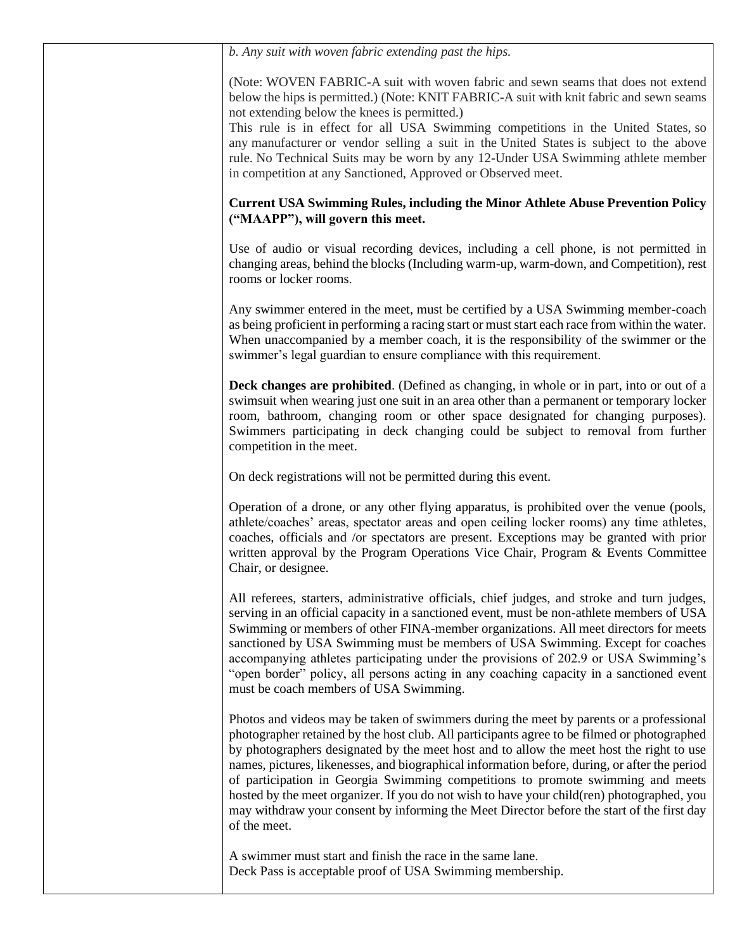| b. Any suit with woven fabric extending past the hips.                                                                                                                                                                                                                                                                                                                                                                                                                                                                                                                                                                                                                             |
|------------------------------------------------------------------------------------------------------------------------------------------------------------------------------------------------------------------------------------------------------------------------------------------------------------------------------------------------------------------------------------------------------------------------------------------------------------------------------------------------------------------------------------------------------------------------------------------------------------------------------------------------------------------------------------|
| (Note: WOVEN FABRIC-A suit with woven fabric and sewn seams that does not extend<br>below the hips is permitted.) (Note: KNIT FABRIC-A suit with knit fabric and sewn seams<br>not extending below the knees is permitted.)<br>This rule is in effect for all USA Swimming competitions in the United States, so                                                                                                                                                                                                                                                                                                                                                                   |
| any manufacturer or vendor selling a suit in the United States is subject to the above<br>rule. No Technical Suits may be worn by any 12-Under USA Swimming athlete member<br>in competition at any Sanctioned, Approved or Observed meet.                                                                                                                                                                                                                                                                                                                                                                                                                                         |
| <b>Current USA Swimming Rules, including the Minor Athlete Abuse Prevention Policy</b><br>("MAAPP"), will govern this meet.                                                                                                                                                                                                                                                                                                                                                                                                                                                                                                                                                        |
| Use of audio or visual recording devices, including a cell phone, is not permitted in<br>changing areas, behind the blocks (Including warm-up, warm-down, and Competition), rest<br>rooms or locker rooms.                                                                                                                                                                                                                                                                                                                                                                                                                                                                         |
| Any swimmer entered in the meet, must be certified by a USA Swimming member-coach<br>as being proficient in performing a racing start or must start each race from within the water.<br>When unaccompanied by a member coach, it is the responsibility of the swimmer or the<br>swimmer's legal guardian to ensure compliance with this requirement.                                                                                                                                                                                                                                                                                                                               |
| <b>Deck changes are prohibited.</b> (Defined as changing, in whole or in part, into or out of a<br>swimsuit when wearing just one suit in an area other than a permanent or temporary locker<br>room, bathroom, changing room or other space designated for changing purposes).<br>Swimmers participating in deck changing could be subject to removal from further<br>competition in the meet.                                                                                                                                                                                                                                                                                    |
| On deck registrations will not be permitted during this event.                                                                                                                                                                                                                                                                                                                                                                                                                                                                                                                                                                                                                     |
| Operation of a drone, or any other flying apparatus, is prohibited over the venue (pools,<br>athlete/coaches' areas, spectator areas and open ceiling locker rooms) any time athletes,<br>coaches, officials and /or spectators are present. Exceptions may be granted with prior<br>written approval by the Program Operations Vice Chair, Program & Events Committee<br>Chair, or designee.                                                                                                                                                                                                                                                                                      |
| All referees, starters, administrative officials, chief judges, and stroke and turn judges,<br>serving in an official capacity in a sanctioned event, must be non-athlete members of USA<br>Swimming or members of other FINA-member organizations. All meet directors for meets<br>sanctioned by USA Swimming must be members of USA Swimming. Except for coaches<br>accompanying athletes participating under the provisions of 202.9 or USA Swimming's<br>"open border" policy, all persons acting in any coaching capacity in a sanctioned event<br>must be coach members of USA Swimming.                                                                                     |
| Photos and videos may be taken of swimmers during the meet by parents or a professional<br>photographer retained by the host club. All participants agree to be filmed or photographed<br>by photographers designated by the meet host and to allow the meet host the right to use<br>names, pictures, likenesses, and biographical information before, during, or after the period<br>of participation in Georgia Swimming competitions to promote swimming and meets<br>hosted by the meet organizer. If you do not wish to have your child(ren) photographed, you<br>may withdraw your consent by informing the Meet Director before the start of the first day<br>of the meet. |
| A swimmer must start and finish the race in the same lane.<br>Deck Pass is acceptable proof of USA Swimming membership.                                                                                                                                                                                                                                                                                                                                                                                                                                                                                                                                                            |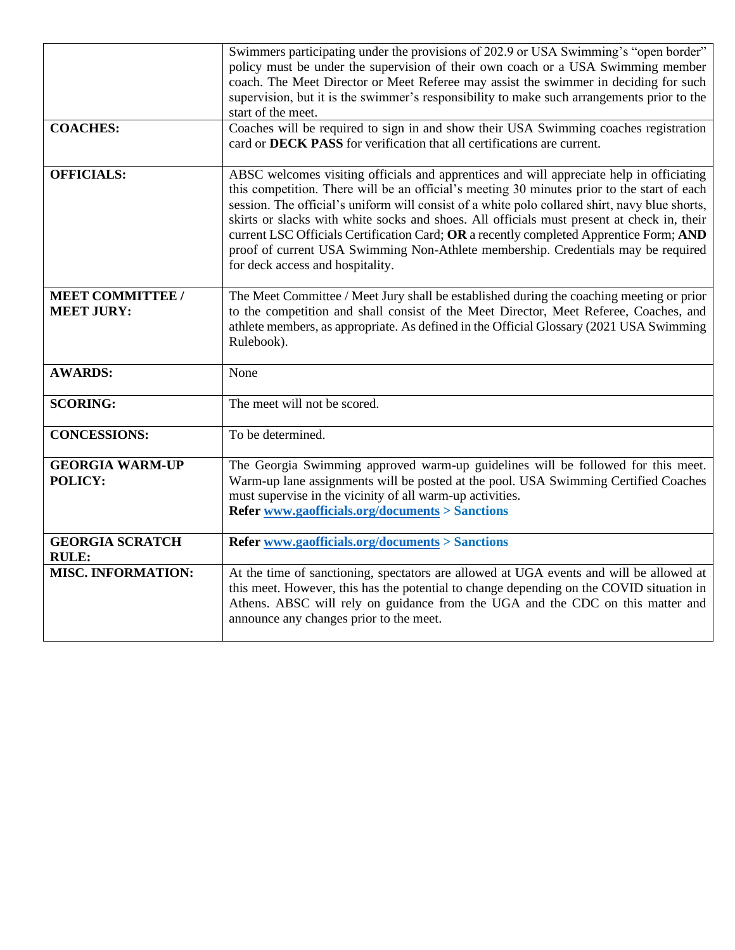|                           | Swimmers participating under the provisions of 202.9 or USA Swimming's "open border"           |  |  |
|---------------------------|------------------------------------------------------------------------------------------------|--|--|
|                           | policy must be under the supervision of their own coach or a USA Swimming member               |  |  |
|                           | coach. The Meet Director or Meet Referee may assist the swimmer in deciding for such           |  |  |
|                           | supervision, but it is the swimmer's responsibility to make such arrangements prior to the     |  |  |
|                           | start of the meet.                                                                             |  |  |
| <b>COACHES:</b>           | Coaches will be required to sign in and show their USA Swimming coaches registration           |  |  |
|                           | card or DECK PASS for verification that all certifications are current.                        |  |  |
|                           |                                                                                                |  |  |
| <b>OFFICIALS:</b>         | ABSC welcomes visiting officials and apprentices and will appreciate help in officiating       |  |  |
|                           | this competition. There will be an official's meeting 30 minutes prior to the start of each    |  |  |
|                           | session. The official's uniform will consist of a white polo collared shirt, navy blue shorts, |  |  |
|                           | skirts or slacks with white socks and shoes. All officials must present at check in, their     |  |  |
|                           | current LSC Officials Certification Card; OR a recently completed Apprentice Form; AND         |  |  |
|                           | proof of current USA Swimming Non-Athlete membership. Credentials may be required              |  |  |
|                           | for deck access and hospitality.                                                               |  |  |
|                           |                                                                                                |  |  |
| <b>MEET COMMITTEE /</b>   | The Meet Committee / Meet Jury shall be established during the coaching meeting or prior       |  |  |
| <b>MEET JURY:</b>         | to the competition and shall consist of the Meet Director, Meet Referee, Coaches, and          |  |  |
|                           | athlete members, as appropriate. As defined in the Official Glossary (2021 USA Swimming        |  |  |
|                           | Rulebook).                                                                                     |  |  |
|                           |                                                                                                |  |  |
| <b>AWARDS:</b>            | None                                                                                           |  |  |
|                           |                                                                                                |  |  |
| <b>SCORING:</b>           | The meet will not be scored.                                                                   |  |  |
|                           |                                                                                                |  |  |
| <b>CONCESSIONS:</b>       | To be determined.                                                                              |  |  |
| <b>GEORGIA WARM-UP</b>    | The Georgia Swimming approved warm-up guidelines will be followed for this meet.               |  |  |
| <b>POLICY:</b>            | Warm-up lane assignments will be posted at the pool. USA Swimming Certified Coaches            |  |  |
|                           | must supervise in the vicinity of all warm-up activities.                                      |  |  |
|                           | <b>Refer www.gaofficials.org/documents &gt; Sanctions</b>                                      |  |  |
|                           |                                                                                                |  |  |
| <b>GEORGIA SCRATCH</b>    | Refer www.gaofficials.org/documents > Sanctions                                                |  |  |
| <b>RULE:</b>              |                                                                                                |  |  |
| <b>MISC. INFORMATION:</b> | At the time of sanctioning, spectators are allowed at UGA events and will be allowed at        |  |  |
|                           | this meet. However, this has the potential to change depending on the COVID situation in       |  |  |
|                           | Athens. ABSC will rely on guidance from the UGA and the CDC on this matter and                 |  |  |
|                           | announce any changes prior to the meet.                                                        |  |  |
|                           |                                                                                                |  |  |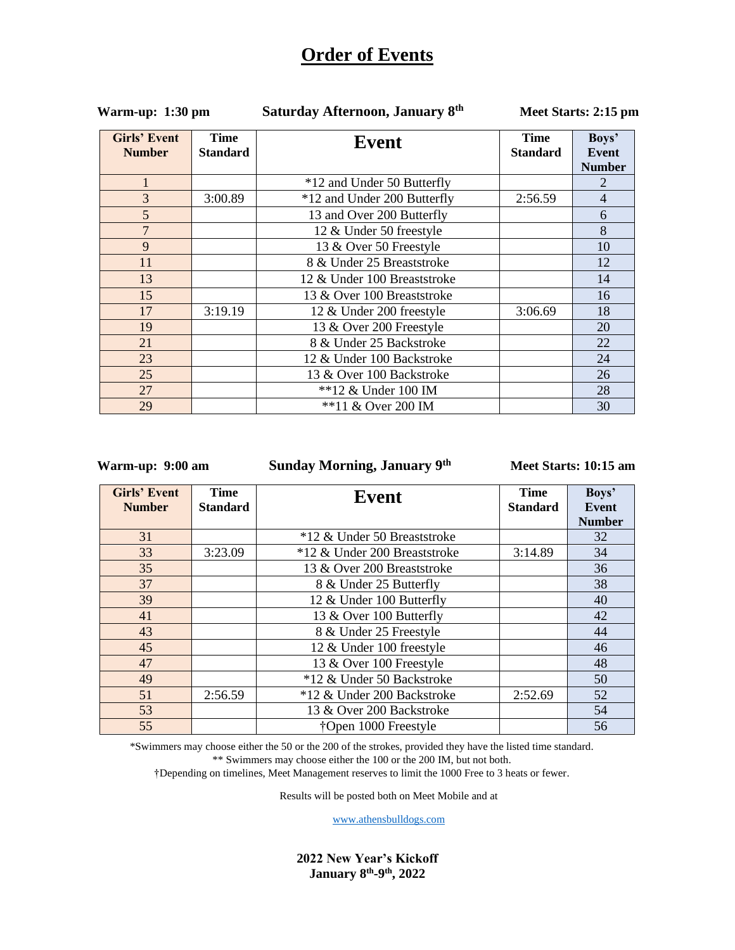### **Order of Events**

### **Warm-up: 1:30 pm Saturday Afternoon, January 8 th**

 **Meet Starts: 2:15 pm** 

| <b>Girls' Event</b><br><b>Number</b> | <b>Time</b><br><b>Standard</b> | <b>Event</b>                | <b>Time</b><br><b>Standard</b> | Boys'<br><b>Event</b><br><b>Number</b> |
|--------------------------------------|--------------------------------|-----------------------------|--------------------------------|----------------------------------------|
| 1                                    |                                | *12 and Under 50 Butterfly  |                                | 2                                      |
| 3                                    | 3:00.89                        | *12 and Under 200 Butterfly | 2:56.59                        | $\overline{4}$                         |
| 5                                    |                                | 13 and Over 200 Butterfly   |                                | 6                                      |
| $\overline{7}$                       |                                | 12 & Under 50 freestyle     |                                | 8                                      |
| 9                                    |                                | 13 & Over 50 Freestyle      |                                | 10                                     |
| 11                                   |                                | 8 & Under 25 Breaststroke   |                                | 12                                     |
| 13                                   |                                | 12 & Under 100 Breaststroke |                                | 14                                     |
| 15                                   |                                | 13 & Over 100 Breaststroke  |                                | 16                                     |
| 17                                   | 3:19.19                        | 12 & Under 200 freestyle    | 3:06.69                        | 18                                     |
| 19                                   |                                | 13 & Over 200 Freestyle     |                                | 20                                     |
| 21                                   |                                | 8 & Under 25 Backstroke     |                                | 22                                     |
| 23                                   |                                | 12 & Under 100 Backstroke   |                                | 24                                     |
| 25                                   |                                | 13 & Over 100 Backstroke    |                                | 26                                     |
| 27                                   |                                | **12 & Under 100 IM         |                                | 28                                     |
| 29                                   |                                | **11 & Over 200 IM          |                                | 30                                     |

**Warm-up: 9:00 am Sunday Morning, January 9 th**

 **Meet Starts: 10:15 am** 

| <b>Girls' Event</b><br><b>Number</b> | <b>Time</b><br><b>Standard</b> | Event                        | <b>Time</b><br><b>Standard</b> | Boys'<br>Event<br><b>Number</b> |
|--------------------------------------|--------------------------------|------------------------------|--------------------------------|---------------------------------|
| 31                                   |                                | *12 & Under 50 Breaststroke  |                                | 32                              |
| 33                                   | 3:23.09                        | *12 & Under 200 Breaststroke | 3:14.89                        | 34                              |
| 35                                   |                                | 13 & Over 200 Breaststroke   |                                | 36                              |
| 37                                   |                                | 8 & Under 25 Butterfly       |                                | 38                              |
| 39                                   |                                | 12 & Under 100 Butterfly     |                                | 40                              |
| 41                                   |                                | 13 & Over 100 Butterfly      |                                | 42                              |
| 43                                   |                                | 8 & Under 25 Freestyle       |                                | 44                              |
| 45                                   |                                | 12 & Under 100 freestyle     |                                | 46                              |
| 47                                   |                                | 13 & Over 100 Freestyle      |                                | 48                              |
| 49                                   |                                | *12 & Under 50 Backstroke    |                                | 50                              |
| 51                                   | 2:56.59                        | *12 & Under 200 Backstroke   | 2:52.69                        | 52                              |
| 53                                   |                                | 13 & Over 200 Backstroke     |                                | 54                              |
| 55                                   |                                | †Open 1000 Freestyle         |                                | 56                              |

\*Swimmers may choose either the 50 or the 200 of the strokes, provided they have the listed time standard. \*\* Swimmers may choose either the 100 or the 200 IM, but not both.

†Depending on timelines, Meet Management reserves to limit the 1000 Free to 3 heats or fewer.

Results will be posted both on Meet Mobile and at

[www.athensbulldogs.com](about:blank)

**2022 New Year's Kickoff January 8th -9 th, 2022**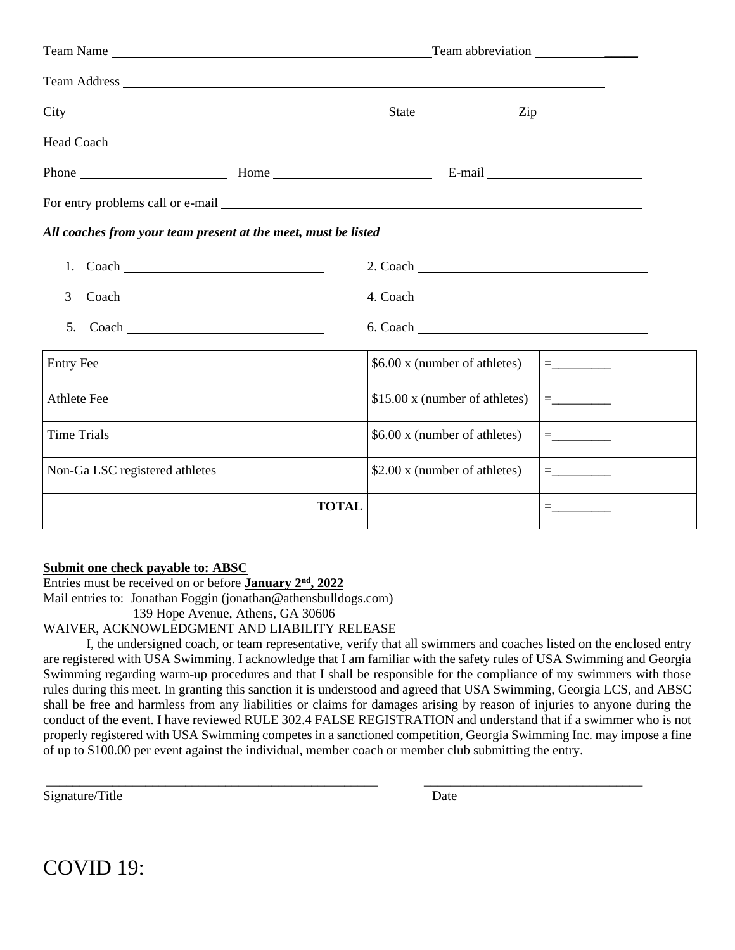| Team Name                                                                                                                                                                                                                            | Team abbreviation                                                                                                                                                                                                              |
|--------------------------------------------------------------------------------------------------------------------------------------------------------------------------------------------------------------------------------------|--------------------------------------------------------------------------------------------------------------------------------------------------------------------------------------------------------------------------------|
| Team Address <u>the contract of the contract of the contract of the contract of the contract of the contract of the contract of the contract of the contract of the contract of the contract of the contract of the contract of </u> |                                                                                                                                                                                                                                |
|                                                                                                                                                                                                                                      | State $\frac{\ }{\ }$<br>$\mathsf{Zip}$                                                                                                                                                                                        |
|                                                                                                                                                                                                                                      | Head Coach Lease and Coach Lease and Coach Lease and Coach Lease and Coach Lease and Coach Lease and Coach Lease and Coach Lease and Coach Lease and Coach Lease and Coach Lease and Coach Lease and Coach Lease and Coach Lea |
|                                                                                                                                                                                                                                      |                                                                                                                                                                                                                                |
|                                                                                                                                                                                                                                      |                                                                                                                                                                                                                                |
| All coaches from your team present at the meet, must be listed                                                                                                                                                                       |                                                                                                                                                                                                                                |
| 1.                                                                                                                                                                                                                                   |                                                                                                                                                                                                                                |
| 3                                                                                                                                                                                                                                    |                                                                                                                                                                                                                                |
| 5 <sub>1</sub>                                                                                                                                                                                                                       |                                                                                                                                                                                                                                |
| <b>Entry Fee</b>                                                                                                                                                                                                                     | \$6.00 x (number of athletes)<br>$= \underbrace{\qquad \qquad }_{\qquad \qquad }= \underbrace{\qquad \qquad }_{\qquad \qquad }$                                                                                                |
| Athlete Fee                                                                                                                                                                                                                          | \$15.00 x (number of athletes)<br>$= \underbrace{\qquad \qquad }_{\qquad \qquad }= \underbrace{\qquad \qquad }_{\qquad \qquad }$                                                                                               |
| <b>Time Trials</b>                                                                                                                                                                                                                   | \$6.00 x (number of athletes)                                                                                                                                                                                                  |
| Non-Ga LSC registered athletes                                                                                                                                                                                                       | \$2.00 x (number of athletes)<br>$\equiv \underbrace{\qquad \qquad }_{\qquad \qquad \qquad \qquad }=\underbrace{\qquad \qquad }_{\qquad \qquad \qquad }$                                                                       |
|                                                                                                                                                                                                                                      | <b>TOTAL</b><br>$\qquad \qquad =\qquad \qquad$                                                                                                                                                                                 |

#### **Submit one check payable to: ABSC**

Entries must be received on or before **January** 2<sup>nd</sup>, 2022

Mail entries to: Jonathan Foggin (jonathan@athensbulldogs.com)

139 Hope Avenue, Athens, GA 30606

WAIVER, ACKNOWLEDGMENT AND LIABILITY RELEASE

I, the undersigned coach, or team representative, verify that all swimmers and coaches listed on the enclosed entry are registered with USA Swimming. I acknowledge that I am familiar with the safety rules of USA Swimming and Georgia Swimming regarding warm-up procedures and that I shall be responsible for the compliance of my swimmers with those rules during this meet. In granting this sanction it is understood and agreed that USA Swimming, Georgia LCS, and ABSC shall be free and harmless from any liabilities or claims for damages arising by reason of injuries to anyone during the conduct of the event. I have reviewed RULE 302.4 FALSE REGISTRATION and understand that if a swimmer who is not properly registered with USA Swimming competes in a sanctioned competition, Georgia Swimming Inc. may impose a fine of up to \$100.00 per event against the individual, member coach or member club submitting the entry.

\_\_\_\_\_\_\_\_\_\_\_\_\_\_\_\_\_\_\_\_\_\_\_\_\_\_\_\_\_\_\_\_\_\_\_\_\_\_\_\_\_\_\_\_\_\_\_\_\_\_ \_\_\_\_\_\_\_\_\_\_\_\_\_\_\_\_\_\_\_\_\_\_\_\_\_\_\_\_\_\_\_\_\_

Signature/Title Date

## COVID 19: